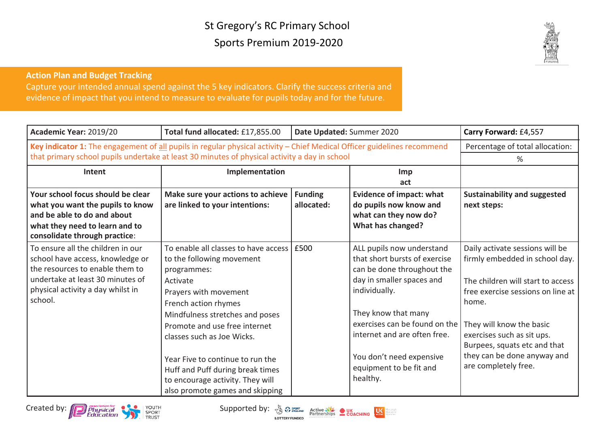## St Gregory's RC Primary School Sports Premium 2019-2020



## **Action Plan and Budget Tracking**

Capture your intended annual spend against the 5 key indicators. Clarify the success criteria and evidence of impact that you intend to measure to evaluate for pupils today and for the future.

| Academic Year: 2019/20                                                                                                                                                                                                   | Total fund allocated: £17,855.00                                                                                                                                                                                                                                                                                                                                                               | Date Updated: Summer 2020    |                                                                                                                                                                                                                                                                                                   | Carry Forward: £4,557                                                                                                                                                                                                                                                                                 |
|--------------------------------------------------------------------------------------------------------------------------------------------------------------------------------------------------------------------------|------------------------------------------------------------------------------------------------------------------------------------------------------------------------------------------------------------------------------------------------------------------------------------------------------------------------------------------------------------------------------------------------|------------------------------|---------------------------------------------------------------------------------------------------------------------------------------------------------------------------------------------------------------------------------------------------------------------------------------------------|-------------------------------------------------------------------------------------------------------------------------------------------------------------------------------------------------------------------------------------------------------------------------------------------------------|
| Key indicator 1: The engagement of all pupils in regular physical activity - Chief Medical Officer guidelines recommend<br>that primary school pupils undertake at least 30 minutes of physical activity a day in school | Percentage of total allocation:                                                                                                                                                                                                                                                                                                                                                                |                              |                                                                                                                                                                                                                                                                                                   |                                                                                                                                                                                                                                                                                                       |
|                                                                                                                                                                                                                          |                                                                                                                                                                                                                                                                                                                                                                                                |                              |                                                                                                                                                                                                                                                                                                   | %                                                                                                                                                                                                                                                                                                     |
| Intent                                                                                                                                                                                                                   | Implementation                                                                                                                                                                                                                                                                                                                                                                                 |                              | Imp<br>act                                                                                                                                                                                                                                                                                        |                                                                                                                                                                                                                                                                                                       |
| Your school focus should be clear<br>what you want the pupils to know<br>and be able to do and about<br>what they need to learn and to<br>consolidate through practice:                                                  | Make sure your actions to achieve<br>are linked to your intentions:                                                                                                                                                                                                                                                                                                                            | <b>Funding</b><br>allocated: | <b>Evidence of impact: what</b><br>do pupils now know and<br>what can they now do?<br>What has changed?                                                                                                                                                                                           | <b>Sustainability and suggested</b><br>next steps:                                                                                                                                                                                                                                                    |
| To ensure all the children in our<br>school have access, knowledge or<br>the resources to enable them to<br>undertake at least 30 minutes of<br>physical activity a day whilst in<br>school.                             | To enable all classes to have access<br>to the following movement<br>programmes:<br>Activate<br>Prayers with movement<br>French action rhymes<br>Mindfulness stretches and poses<br>Promote and use free internet<br>classes such as Joe Wicks.<br>Year Five to continue to run the<br>Huff and Puff during break times<br>to encourage activity. They will<br>also promote games and skipping | £500                         | ALL pupils now understand<br>that short bursts of exercise<br>can be done throughout the<br>day in smaller spaces and<br>individually.<br>They know that many<br>exercises can be found on the<br>internet and are often free.<br>You don't need expensive<br>equipment to be fit and<br>healthy. | Daily activate sessions will be<br>firmly embedded in school day.<br>The children will start to access<br>free exercise sessions on line at<br>home.<br>They will know the basic<br>exercises such as sit ups.<br>Burpees, squats etc and that<br>they can be done anyway and<br>are completely free. |



**TRUST** 

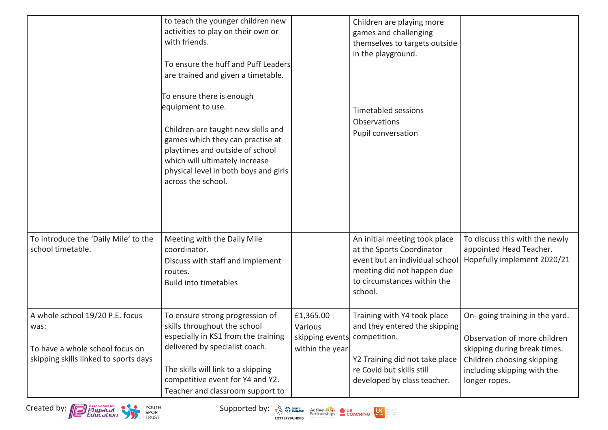|                                                                                                                     | to teach the younger children new<br>activities to play on their own or<br>with friends.<br>To ensure the huff and Puff Leaders<br>are trained and given a timetable.<br>To ensure there is enough<br>equipment to use.<br>Children are taught new skills and<br>games which they can practise at<br>playtimes and outside of school<br>which will ultimately increase<br>physical level in both boys and girls<br>across the school. |                                                                         | Children are playing more<br>games and challenging<br>themselves to targets outside<br>in the playground.<br><b>Timetabled sessions</b><br>Observations<br>Pupil conversation |                                                                                                                                                                              |
|---------------------------------------------------------------------------------------------------------------------|---------------------------------------------------------------------------------------------------------------------------------------------------------------------------------------------------------------------------------------------------------------------------------------------------------------------------------------------------------------------------------------------------------------------------------------|-------------------------------------------------------------------------|-------------------------------------------------------------------------------------------------------------------------------------------------------------------------------|------------------------------------------------------------------------------------------------------------------------------------------------------------------------------|
| To introduce the 'Daily Mile' to the<br>school timetable.                                                           | Meeting with the Daily Mile<br>coordinator.<br>Discuss with staff and implement<br>routes.<br><b>Build into timetables</b>                                                                                                                                                                                                                                                                                                            |                                                                         | An initial meeting took place<br>at the Sports Coordinator<br>event but an individual school<br>meeting did not happen due<br>to circumstances within the<br>school.          | To discuss this with the newly<br>appointed Head Teacher.<br>Hopefully implement 2020/21                                                                                     |
| A whole school 19/20 P.E. focus<br>was:<br>To have a whole school focus on<br>skipping skills linked to sports days | To ensure strong progression of<br>skills throughout the school<br>especially in KS1 from the training<br>delivered by specialist coach.<br>The skills will link to a skipping<br>competitive event for Y4 and Y2.<br>Teacher and classroom support to                                                                                                                                                                                | £1,365.00<br>Various<br>skipping events competition.<br>within the year | Training with Y4 took place<br>and they entered the skipping<br>Y2 Training did not take place<br>re Covid but skills still<br>developed by class teacher.                    | On-going training in the yard.<br>Observation of more children<br>skipping during break times.<br>Children choosing skipping<br>including skipping with the<br>longer ropes. |



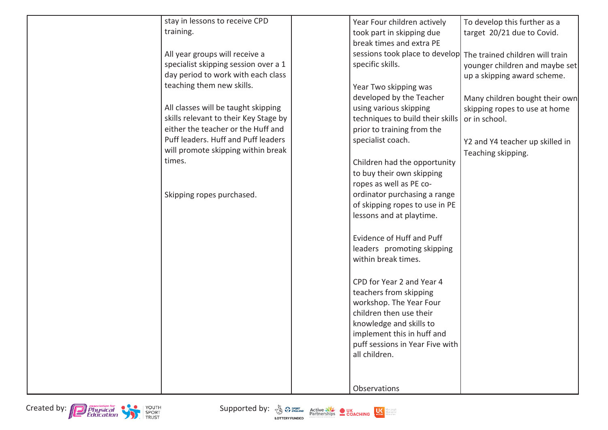| stay in lessons to receive CPD        | Year Four children actively                       | To develop this further as a    |
|---------------------------------------|---------------------------------------------------|---------------------------------|
| training.                             | took part in skipping due                         | target 20/21 due to Covid.      |
|                                       | break times and extra PE                          |                                 |
| All year groups will receive a        | sessions took place to develop                    | The trained children will train |
| specialist skipping session over a 1  | specific skills.                                  | younger children and maybe set  |
| day period to work with each class    |                                                   | up a skipping award scheme.     |
| teaching them new skills.             | Year Two skipping was                             |                                 |
|                                       | developed by the Teacher                          | Many children bought their own  |
| All classes will be taught skipping   | using various skipping                            | skipping ropes to use at home   |
| skills relevant to their Key Stage by | techniques to build their skills                  | or in school.                   |
| either the teacher or the Huff and    | prior to training from the                        |                                 |
| Puff leaders. Huff and Puff leaders   | specialist coach.                                 |                                 |
| will promote skipping within break    |                                                   | Y2 and Y4 teacher up skilled in |
| times.                                | Children had the opportunity                      | Teaching skipping.              |
|                                       | to buy their own skipping                         |                                 |
|                                       | ropes as well as PE co-                           |                                 |
| Skipping ropes purchased.             | ordinator purchasing a range                      |                                 |
|                                       | of skipping ropes to use in PE                    |                                 |
|                                       | lessons and at playtime.                          |                                 |
|                                       |                                                   |                                 |
|                                       | Evidence of Huff and Puff                         |                                 |
|                                       | leaders promoting skipping                        |                                 |
|                                       | within break times.                               |                                 |
|                                       |                                                   |                                 |
|                                       |                                                   |                                 |
|                                       | CPD for Year 2 and Year 4                         |                                 |
|                                       | teachers from skipping<br>workshop. The Year Four |                                 |
|                                       | children then use their                           |                                 |
|                                       | knowledge and skills to                           |                                 |
|                                       | implement this in huff and                        |                                 |
|                                       | puff sessions in Year Five with                   |                                 |
|                                       | all children.                                     |                                 |
|                                       |                                                   |                                 |
|                                       |                                                   |                                 |
|                                       | Observations                                      |                                 |
|                                       |                                                   |                                 |

Created by: **Conspiction** of the Supported by: **Consumer Supported by:**  $\frac{1}{2}$  Supported by: **Consumer Supported by:**  $\frac{1}{2}$  Supported by: **CONSUPPORT** BEGINERAL CONCHING **CONCHING** 



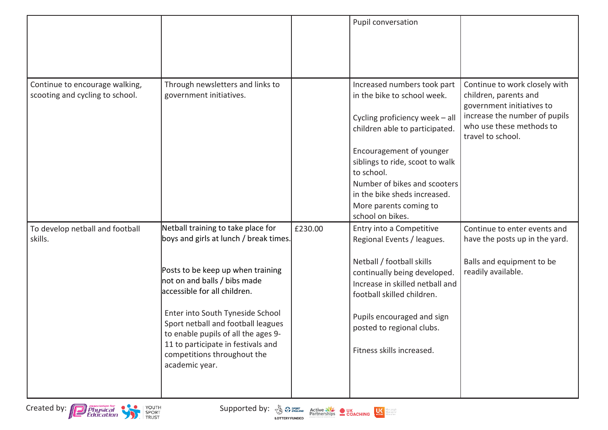|                                                                   |                                                                                                                                                                                                                                                          |         | Pupil conversation                                                                                                                                                                                                 |                                                                                                                                                                       |
|-------------------------------------------------------------------|----------------------------------------------------------------------------------------------------------------------------------------------------------------------------------------------------------------------------------------------------------|---------|--------------------------------------------------------------------------------------------------------------------------------------------------------------------------------------------------------------------|-----------------------------------------------------------------------------------------------------------------------------------------------------------------------|
| Continue to encourage walking,<br>scooting and cycling to school. | Through newsletters and links to<br>government initiatives.                                                                                                                                                                                              |         | Increased numbers took part<br>in the bike to school week.<br>Cycling proficiency week - all<br>children able to participated.                                                                                     | Continue to work closely with<br>children, parents and<br>government initiatives to<br>increase the number of pupils<br>who use these methods to<br>travel to school. |
|                                                                   |                                                                                                                                                                                                                                                          |         | Encouragement of younger<br>siblings to ride, scoot to walk<br>to school.<br>Number of bikes and scooters<br>in the bike sheds increased.<br>More parents coming to<br>school on bikes.                            |                                                                                                                                                                       |
| To develop netball and football<br>skills.                        | Netball training to take place for<br>boys and girls at lunch / break times.                                                                                                                                                                             | £230.00 | Entry into a Competitive<br>Regional Events / leagues.                                                                                                                                                             | Continue to enter events and<br>have the posts up in the yard.                                                                                                        |
|                                                                   | Posts to be keep up when training<br>not on and balls / bibs made<br>accessible for all children.<br>Enter into South Tyneside School<br>Sport netball and football leagues<br>to enable pupils of all the ages 9-<br>11 to participate in festivals and |         | Netball / football skills<br>continually being developed.<br>Increase in skilled netball and<br>football skilled children.<br>Pupils encouraged and sign<br>posted to regional clubs.<br>Fitness skills increased. | Balls and equipment to be<br>readily available.                                                                                                                       |
|                                                                   | competitions throughout the<br>academic year.                                                                                                                                                                                                            |         |                                                                                                                                                                                                                    |                                                                                                                                                                       |



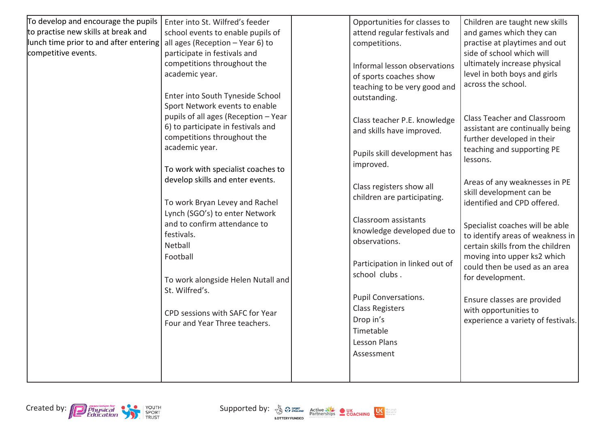| To develop and encourage the pupils    | Enter into St. Wilfred's feeder      | Opportunities for classes to   | Children are taught new skills     |
|----------------------------------------|--------------------------------------|--------------------------------|------------------------------------|
| to practise new skills at break and    | school events to enable pupils of    | attend regular festivals and   | and games which they can           |
| lunch time prior to and after entering | all ages (Reception - Year 6) to     | competitions.                  | practise at playtimes and out      |
| competitive events.                    | participate in festivals and         |                                | side of school which will          |
|                                        | competitions throughout the          | Informal lesson observations   | ultimately increase physical       |
|                                        | academic year.                       | of sports coaches show         | level in both boys and girls       |
|                                        |                                      | teaching to be very good and   | across the school.                 |
|                                        | Enter into South Tyneside School     | outstanding.                   |                                    |
|                                        | Sport Network events to enable       |                                |                                    |
|                                        | pupils of all ages (Reception - Year | Class teacher P.E. knowledge   | <b>Class Teacher and Classroom</b> |
|                                        | 6) to participate in festivals and   | and skills have improved.      | assistant are continually being    |
|                                        | competitions throughout the          |                                | further developed in their         |
|                                        | academic year.                       | Pupils skill development has   | teaching and supporting PE         |
|                                        |                                      | improved.                      | lessons.                           |
|                                        | To work with specialist coaches to   |                                |                                    |
|                                        | develop skills and enter events.     | Class registers show all       | Areas of any weaknesses in PE      |
|                                        |                                      | children are participating.    | skill development can be           |
|                                        | To work Bryan Levey and Rachel       |                                | identified and CPD offered.        |
|                                        | Lynch (SGO's) to enter Network       | Classroom assistants           |                                    |
|                                        | and to confirm attendance to         | knowledge developed due to     | Specialist coaches will be able    |
|                                        | festivals.                           | observations.                  | to identify areas of weakness in   |
|                                        | Netball                              |                                | certain skills from the children   |
|                                        | Football                             |                                | moving into upper ks2 which        |
|                                        |                                      | Participation in linked out of | could then be used as an area      |
|                                        | To work alongside Helen Nutall and   | school clubs.                  | for development.                   |
|                                        | St. Wilfred's.                       |                                |                                    |
|                                        |                                      | Pupil Conversations.           | Ensure classes are provided        |
|                                        | CPD sessions with SAFC for Year      | <b>Class Registers</b>         | with opportunities to              |
|                                        | Four and Year Three teachers.        | Drop in's                      | experience a variety of festivals. |
|                                        |                                      | Timetable                      |                                    |
|                                        |                                      | Lesson Plans                   |                                    |
|                                        |                                      | Assessment                     |                                    |
|                                        |                                      |                                |                                    |
|                                        |                                      |                                |                                    |





Morepeople<br>Moreactive<br>Moreoften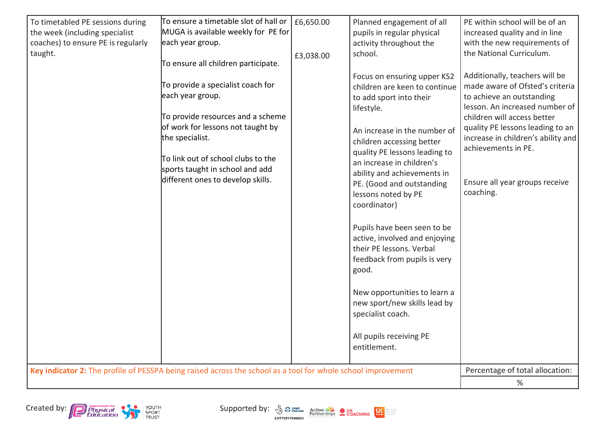| To timetabled PE sessions during   | To ensure a timetable slot of hall or $\vert$ £6,650.00                                                                                                                                                                                                          |           | Planned engagement of all                                                                                                                                                                                                                                                                                                                                                                                                                                                                                                                                                                                | PE within school will be of an                                                                                                                                                                                                                                                                                  |
|------------------------------------|------------------------------------------------------------------------------------------------------------------------------------------------------------------------------------------------------------------------------------------------------------------|-----------|----------------------------------------------------------------------------------------------------------------------------------------------------------------------------------------------------------------------------------------------------------------------------------------------------------------------------------------------------------------------------------------------------------------------------------------------------------------------------------------------------------------------------------------------------------------------------------------------------------|-----------------------------------------------------------------------------------------------------------------------------------------------------------------------------------------------------------------------------------------------------------------------------------------------------------------|
| the week (including specialist     | MUGA is available weekly for PE for                                                                                                                                                                                                                              |           | pupils in regular physical                                                                                                                                                                                                                                                                                                                                                                                                                                                                                                                                                                               | increased quality and in line                                                                                                                                                                                                                                                                                   |
| coaches) to ensure PE is regularly | each year group.                                                                                                                                                                                                                                                 |           | activity throughout the                                                                                                                                                                                                                                                                                                                                                                                                                                                                                                                                                                                  | with the new requirements of                                                                                                                                                                                                                                                                                    |
| taught.                            | To ensure all children participate.                                                                                                                                                                                                                              | £3,038.00 | school.                                                                                                                                                                                                                                                                                                                                                                                                                                                                                                                                                                                                  | the National Curriculum.                                                                                                                                                                                                                                                                                        |
|                                    | To provide a specialist coach for<br>each year group.<br>To provide resources and a scheme<br>of work for lessons not taught by<br>the specialist.<br>To link out of school clubs to the<br>sports taught in school and add<br>different ones to develop skills. |           | Focus on ensuring upper KS2<br>children are keen to continue<br>to add sport into their<br>lifestyle.<br>An increase in the number of<br>children accessing better<br>quality PE lessons leading to<br>an increase in children's<br>ability and achievements in<br>PE. (Good and outstanding<br>lessons noted by PE<br>coordinator)<br>Pupils have been seen to be<br>active, involved and enjoying<br>their PE lessons. Verbal<br>feedback from pupils is very<br>good.<br>New opportunities to learn a<br>new sport/new skills lead by<br>specialist coach.<br>All pupils receiving PE<br>entitlement. | Additionally, teachers will be<br>made aware of Ofsted's criteria<br>to achieve an outstanding<br>lesson. An increased number of<br>children will access better<br>quality PE lessons leading to an<br>increase in children's ability and<br>achievements in PE.<br>Ensure all year groups receive<br>coaching. |
|                                    | Key indicator 2: The profile of PESSPA being raised across the school as a tool for whole school improvement                                                                                                                                                     |           |                                                                                                                                                                                                                                                                                                                                                                                                                                                                                                                                                                                                          | Percentage of total allocation:                                                                                                                                                                                                                                                                                 |
|                                    | %                                                                                                                                                                                                                                                                |           |                                                                                                                                                                                                                                                                                                                                                                                                                                                                                                                                                                                                          |                                                                                                                                                                                                                                                                                                                 |



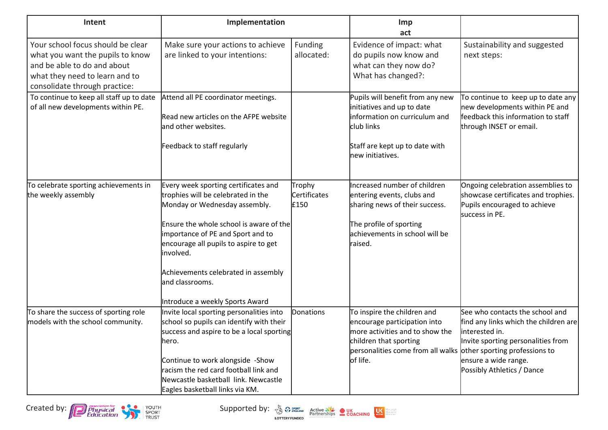| Intent                                                                                                                                                                  | Implementation                                                                                                                                                                                                                                                                                                                                 |                                       | <b>Imp</b><br>act                                                                                                                                                                                       |                                                                                                                                                                                        |
|-------------------------------------------------------------------------------------------------------------------------------------------------------------------------|------------------------------------------------------------------------------------------------------------------------------------------------------------------------------------------------------------------------------------------------------------------------------------------------------------------------------------------------|---------------------------------------|---------------------------------------------------------------------------------------------------------------------------------------------------------------------------------------------------------|----------------------------------------------------------------------------------------------------------------------------------------------------------------------------------------|
| Your school focus should be clear<br>what you want the pupils to know<br>and be able to do and about<br>what they need to learn and to<br>consolidate through practice: | Make sure your actions to achieve<br>are linked to your intentions:                                                                                                                                                                                                                                                                            | <b>Funding</b><br>allocated:          | Evidence of impact: what<br>do pupils now know and<br>what can they now do?<br>What has changed?:                                                                                                       | Sustainability and suggested<br>next steps:                                                                                                                                            |
| To continue to keep all staff up to date<br>of all new developments within PE.                                                                                          | Attend all PE coordinator meetings.<br>Read new articles on the AFPE website<br>and other websites.<br>Feedback to staff regularly                                                                                                                                                                                                             |                                       | Pupils will benefit from any new<br>initiatives and up to date<br>information on curriculum and<br>club links<br>Staff are kept up to date with<br>new initiatives.                                     | To continue to keep up to date any<br>new developments within PE and<br>feedback this information to staff<br>through INSET or email.                                                  |
| To celebrate sporting achievements in<br>the weekly assembly                                                                                                            | Every week sporting certificates and<br>trophies will be celebrated in the<br>Monday or Wednesday assembly.<br>Ensure the whole school is aware of the<br>importance of PE and Sport and to<br>encourage all pupils to aspire to get<br>involved.<br>Achievements celebrated in assembly<br>and classrooms.<br>Introduce a weekly Sports Award | Trophy<br><b>Certificates</b><br>£150 | Increased number of children<br>entering events, clubs and<br>sharing news of their success.<br>The profile of sporting<br>achievements in school will be<br>raised.                                    | Ongoing celebration assemblies to<br>showcase certificates and trophies.<br>Pupils encouraged to achieve<br>success in PE.                                                             |
| To share the success of sporting role<br>models with the school community.                                                                                              | Invite local sporting personalities into<br>school so pupils can identify with their<br>success and aspire to be a local sporting<br>hero.<br>Continue to work alongside -Show<br>racism the red card football link and<br>Newcastle basketball link. Newcastle<br>Eagles basketball links via KM.                                             | Donations                             | To inspire the children and<br>encourage participation into<br>more activities and to show the<br>children that sporting<br>personalities come from all walks other sporting professions to<br>of life. | See who contacts the school and<br>find any links which the children are<br>interested in.<br>Invite sporting personalities from<br>ensure a wide range.<br>Possibly Athletics / Dance |



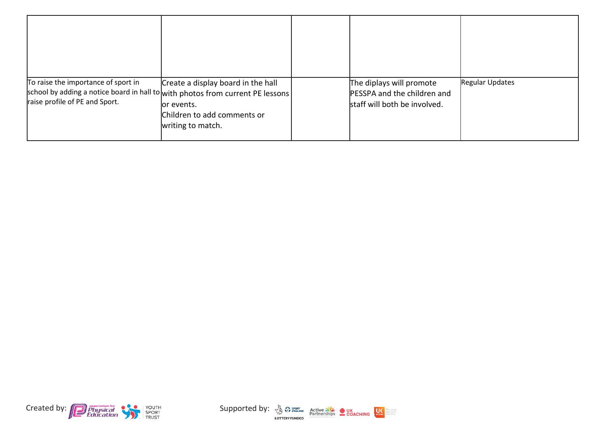| To raise the importance of sport in<br>school by adding a notice board in hall to with photos from current PE lessons<br>raise profile of PE and Sport. | Create a display board in the hall<br>or events.<br>Children to add comments or<br>writing to match. | The diplays will promote<br>PESSPA and the children and<br>staff will both be involved. | <b>Regular Updates</b> |
|---------------------------------------------------------------------------------------------------------------------------------------------------------|------------------------------------------------------------------------------------------------------|-----------------------------------------------------------------------------------------|------------------------|



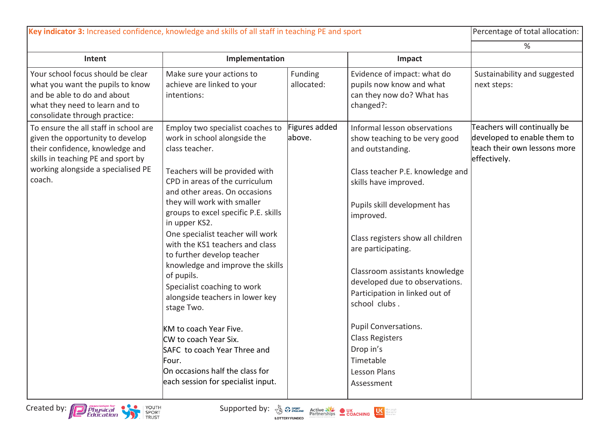| Key indicator 3: Increased confidence, knowledge and skills of all staff in teaching PE and sport                                                                       |                                                                                                                                                                   |                         |                                                                                                                     | Percentage of total allocation:                                                                             |
|-------------------------------------------------------------------------------------------------------------------------------------------------------------------------|-------------------------------------------------------------------------------------------------------------------------------------------------------------------|-------------------------|---------------------------------------------------------------------------------------------------------------------|-------------------------------------------------------------------------------------------------------------|
|                                                                                                                                                                         |                                                                                                                                                                   |                         |                                                                                                                     | %                                                                                                           |
| Intent                                                                                                                                                                  | Implementation                                                                                                                                                    |                         | Impact                                                                                                              |                                                                                                             |
| Your school focus should be clear<br>what you want the pupils to know<br>and be able to do and about<br>what they need to learn and to<br>consolidate through practice: | Make sure your actions to<br>achieve are linked to your<br>intentions:                                                                                            | Funding<br>allocated:   | Evidence of impact: what do<br>pupils now know and what<br>can they now do? What has<br>changed?:                   | Sustainability and suggested<br>next steps:                                                                 |
| To ensure the all staff in school are<br>given the opportunity to develop<br>their confidence, knowledge and<br>skills in teaching PE and sport by                      | Employ two specialist coaches to<br>work in school alongside the<br>class teacher.                                                                                | Figures added<br>above. | Informal lesson observations<br>show teaching to be very good<br>and outstanding.                                   | Teachers will continually be<br>developed to enable them to<br>teach their own lessons more<br>effectively. |
| working alongside a specialised PE<br>coach.                                                                                                                            | Teachers will be provided with<br>CPD in areas of the curriculum<br>and other areas. On occasions                                                                 |                         | Class teacher P.E. knowledge and<br>skills have improved.                                                           |                                                                                                             |
|                                                                                                                                                                         | they will work with smaller<br>groups to excel specific P.E. skills<br>in upper KS2.                                                                              |                         | Pupils skill development has<br>improved.                                                                           |                                                                                                             |
|                                                                                                                                                                         | One specialist teacher will work<br>with the KS1 teachers and class<br>to further develop teacher                                                                 |                         | Class registers show all children<br>are participating.                                                             |                                                                                                             |
|                                                                                                                                                                         | knowledge and improve the skills<br>of pupils.<br>Specialist coaching to work<br>alongside teachers in lower key<br>stage Two.                                    |                         | Classroom assistants knowledge<br>developed due to observations.<br>Participation in linked out of<br>school clubs. |                                                                                                             |
|                                                                                                                                                                         | KM to coach Year Five.<br>CW to coach Year Six.<br>SAFC to coach Year Three and<br>Four.<br>On occasions half the class for<br>each session for specialist input. |                         | Pupil Conversations.<br><b>Class Registers</b><br>Drop in's<br>Timetable<br>Lesson Plans<br>Assessment              |                                                                                                             |

Created by: **Conspiction** of the Supported by: **Consumer Supported by:**  $\frac{1}{2}$  Supported by: **Consumer Supported by:**  $\frac{1}{2}$  Supported by: **CONSUPPORT** BEGINERAL CONCHING **CONCHING** 



Morepeople<br>Moreactive<br>Moreoften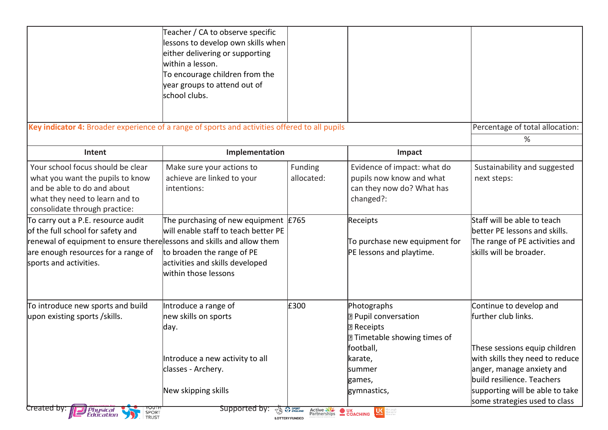|                                                                                                                                                                                                                    | Teacher / CA to observe specific<br>lessons to develop own skills when<br>either delivering or supporting<br>within a lesson.<br>To encourage children from the<br>year groups to attend out of<br>school clubs. |                                                                   |                                                                                                                     |                                                                                                                               |
|--------------------------------------------------------------------------------------------------------------------------------------------------------------------------------------------------------------------|------------------------------------------------------------------------------------------------------------------------------------------------------------------------------------------------------------------|-------------------------------------------------------------------|---------------------------------------------------------------------------------------------------------------------|-------------------------------------------------------------------------------------------------------------------------------|
| Key indicator 4: Broader experience of a range of sports and activities offered to all pupils                                                                                                                      |                                                                                                                                                                                                                  |                                                                   |                                                                                                                     | Percentage of total allocation:<br>%                                                                                          |
| Intent                                                                                                                                                                                                             | Implementation                                                                                                                                                                                                   |                                                                   | Impact                                                                                                              |                                                                                                                               |
| Your school focus should be clear<br>what you want the pupils to know<br>and be able to do and about<br>what they need to learn and to<br>consolidate through practice:                                            | Make sure your actions to<br>achieve are linked to your<br>intentions:                                                                                                                                           | Funding<br>allocated:                                             | Evidence of impact: what do<br>pupils now know and what<br>can they now do? What has<br>changed?:                   | Sustainability and suggested<br>next steps:                                                                                   |
| To carry out a P.E. resource audit<br>of the full school for safety and<br>renewal of equipment to ensure there lessons and skills and allow them<br>are enough resources for a range of<br>sports and activities. | The purchasing of new equipment $E$ 765<br>will enable staff to teach better PE<br>to broaden the range of PE<br>activities and skills developed<br>within those lessons                                         |                                                                   | Receipts<br>To purchase new equipment for<br>PE lessons and playtime.                                               | Staff will be able to teach<br>better PE lessons and skills.<br>The range of PE activities and<br>skills will be broader.     |
| To introduce new sports and build<br>upon existing sports /skills.                                                                                                                                                 | Introduce a range of<br>new skills on sports<br>day.                                                                                                                                                             | £300                                                              | Photographs<br><b>P</b> Pupil conversation<br><b>7 Receipts</b><br><b>7</b> Timetable showing times of<br>football, | Continue to develop and<br>further club links.<br>These sessions equip children                                               |
|                                                                                                                                                                                                                    | Introduce a new activity to all<br>classes - Archery.<br>New skipping skills                                                                                                                                     |                                                                   | karate,<br>summer<br>games,<br>gymnastics,                                                                          | with skills they need to reduce<br>anger, manage anxiety and<br>build resilience. Teachers<br>supporting will be able to take |
| Created by:<br><b>Physical</b><br>Education<br>SPORT<br>TRUST                                                                                                                                                      | Supported by:                                                                                                                                                                                                    | <b>ENGLAND</b><br>Active<br>Partnerships<br><b>LOTTERY FUNDED</b> | <b>OUK</b><br>COACHING<br>$\bigcup_{\text{active}}$<br>are people<br>are active<br>are often                        | some strategies used to class                                                                                                 |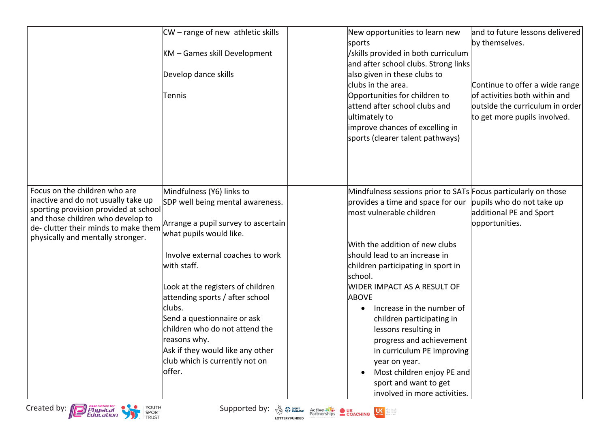|                                                                                                                                                                                                                                 | $CW$ – range of new athletic skills<br>KM - Games skill Development<br>Develop dance skills<br>Tennis                           | New opportunities to learn new<br>sports<br>/skills provided in both curriculum<br>and after school clubs. Strong links<br>also given in these clubs to<br>clubs in the area.<br>Opportunities for children to<br>attend after school clubs and<br>ultimately to<br>improve chances of excelling in<br>sports (clearer talent pathways) | and to future lessons delivered<br>by themselves.<br>Continue to offer a wide range<br>of activities both within and<br>outside the curriculum in order<br>to get more pupils involved. |
|---------------------------------------------------------------------------------------------------------------------------------------------------------------------------------------------------------------------------------|---------------------------------------------------------------------------------------------------------------------------------|-----------------------------------------------------------------------------------------------------------------------------------------------------------------------------------------------------------------------------------------------------------------------------------------------------------------------------------------|-----------------------------------------------------------------------------------------------------------------------------------------------------------------------------------------|
| Focus on the children who are<br>inactive and do not usually take up<br>sporting provision provided at school<br>and those children who develop to<br>de- clutter their minds to make them<br>physically and mentally stronger. | Mindfulness (Y6) links to<br>SDP well being mental awareness.<br>Arrange a pupil survey to ascertain<br>what pupils would like. | Mindfulness sessions prior to SATs Focus particularly on those<br>provides a time and space for our<br>most vulnerable children<br>With the addition of new clubs                                                                                                                                                                       | pupils who do not take up<br>additional PE and Sport<br>opportunities.                                                                                                                  |
|                                                                                                                                                                                                                                 | Involve external coaches to work<br>with staff.                                                                                 | should lead to an increase in<br>children participating in sport in<br>school.                                                                                                                                                                                                                                                          |                                                                                                                                                                                         |
|                                                                                                                                                                                                                                 | Look at the registers of children<br>attending sports / after school<br>clubs.<br>Send a questionnaire or ask                   | <b>WIDER IMPACT AS A RESULT OF</b><br><b>ABOVE</b><br>Increase in the number of<br>$\bullet$<br>children participating in                                                                                                                                                                                                               |                                                                                                                                                                                         |
|                                                                                                                                                                                                                                 | children who do not attend the<br>reasons why.<br>Ask if they would like any other<br>club which is currently not on            | lessons resulting in<br>progress and achievement<br>in curriculum PE improving<br>year on year.                                                                                                                                                                                                                                         |                                                                                                                                                                                         |
|                                                                                                                                                                                                                                 | loffer.                                                                                                                         | Most children enjoy PE and<br>sport and want to get<br>involved in more activities.                                                                                                                                                                                                                                                     |                                                                                                                                                                                         |

Created by: **Conspiction** of the Supported by: **Consumer Supported by:**  $\frac{1}{2}$  Supported by: **Consumer Supported by:**  $\frac{1}{2}$  Supported by: **CONSUPPORT** BEGINERAL CONCHING **CONCHING** 





Morepeople<br>Moreactive<br>Moreoften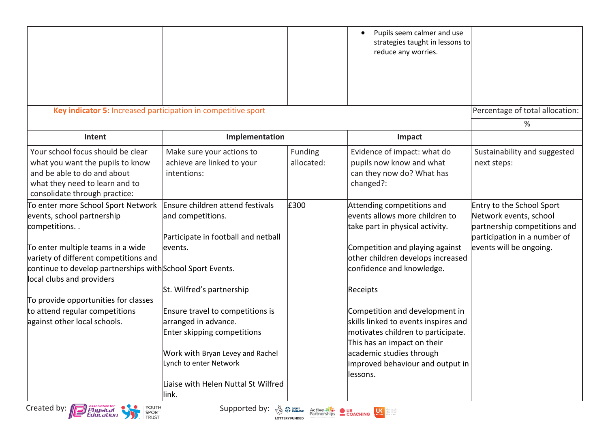|                                                                                                                                                                         |                                                                                                                                                                                                        |                       | Pupils seem calmer and use<br>strategies taught in lessons to<br>reduce any worries.                                                                                                                                     |                                                                                                                                                |
|-------------------------------------------------------------------------------------------------------------------------------------------------------------------------|--------------------------------------------------------------------------------------------------------------------------------------------------------------------------------------------------------|-----------------------|--------------------------------------------------------------------------------------------------------------------------------------------------------------------------------------------------------------------------|------------------------------------------------------------------------------------------------------------------------------------------------|
|                                                                                                                                                                         | Key indicator 5: Increased participation in competitive sport                                                                                                                                          |                       |                                                                                                                                                                                                                          | Percentage of total allocation:                                                                                                                |
|                                                                                                                                                                         |                                                                                                                                                                                                        |                       |                                                                                                                                                                                                                          | %                                                                                                                                              |
| Intent                                                                                                                                                                  | Implementation                                                                                                                                                                                         |                       | Impact                                                                                                                                                                                                                   |                                                                                                                                                |
| Your school focus should be clear<br>what you want the pupils to know<br>and be able to do and about<br>what they need to learn and to<br>consolidate through practice: | Make sure your actions to<br>achieve are linked to your<br>intentions:                                                                                                                                 | Funding<br>allocated: | Evidence of impact: what do<br>pupils now know and what<br>can they now do? What has<br>changed?:                                                                                                                        | Sustainability and suggested<br>next steps:                                                                                                    |
| To enter more School Sport Network<br>events, school partnership<br>competitions<br>To enter multiple teams in a wide                                                   | Ensure children attend festivals<br>and competitions.<br>Participate in football and netball<br>events.                                                                                                | £300                  | Attending competitions and<br>levents allows more children to<br>take part in physical activity.<br>Competition and playing against                                                                                      | Entry to the School Sport<br>Network events, school<br>partnership competitions and<br>participation in a number of<br>events will be ongoing. |
| variety of different competitions and<br>continue to develop partnerships with School Sport Events.<br>local clubs and providers                                        |                                                                                                                                                                                                        |                       | other children develops increased<br>confidence and knowledge.                                                                                                                                                           |                                                                                                                                                |
| To provide opportunities for classes                                                                                                                                    | St. Wilfred's partnership                                                                                                                                                                              |                       | Receipts                                                                                                                                                                                                                 |                                                                                                                                                |
| to attend regular competitions<br>against other local schools.                                                                                                          | Ensure travel to competitions is<br>arranged in advance.<br>Enter skipping competitions<br>Work with Bryan Levey and Rachel<br>Lynch to enter Network<br>Liaise with Helen Nuttal St Wilfred<br>llink. |                       | Competition and development in<br>skills linked to events inspires and<br>motivates children to participate.<br>This has an impact on their<br>academic studies through<br>improved behaviour and output in<br>llessons. |                                                                                                                                                |
| YOUTH<br>FRUST<br>Created by: Physical                                                                                                                                  | Supported by: $\sqrt[n]{a}$ $\sqrt[n]{a}$ active $\frac{1}{\sqrt[n]{a}}$ OUK COACHING                                                                                                                  | <b>LOTTERY FUNDED</b> | Mare people<br>Mare active<br>Mare often                                                                                                                                                                                 |                                                                                                                                                |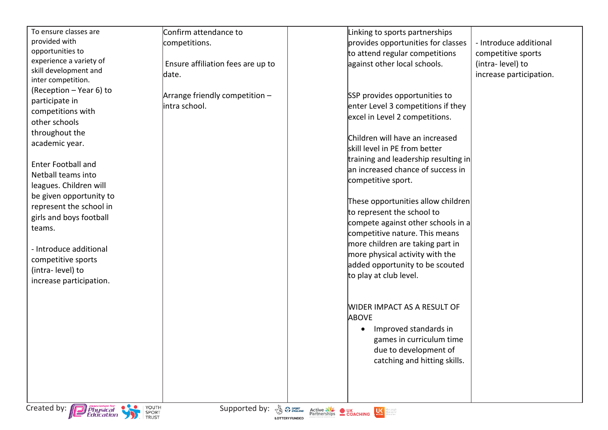| To ensure classes are<br>provided with                                                                                                                                                                                                                                                                                                                                                     | Confirm attendance to<br>competitions.                                                                        | Linking to sports partnerships<br>provides opportunities for classes                                                                                                                                                                                                                                                                                                                                                                                                                                                                                          | - Introduce additional                                            |
|--------------------------------------------------------------------------------------------------------------------------------------------------------------------------------------------------------------------------------------------------------------------------------------------------------------------------------------------------------------------------------------------|---------------------------------------------------------------------------------------------------------------|---------------------------------------------------------------------------------------------------------------------------------------------------------------------------------------------------------------------------------------------------------------------------------------------------------------------------------------------------------------------------------------------------------------------------------------------------------------------------------------------------------------------------------------------------------------|-------------------------------------------------------------------|
| opportunities to<br>experience a variety of<br>skill development and<br>inter competition.                                                                                                                                                                                                                                                                                                 | Ensure affiliation fees are up to<br>date.                                                                    | to attend regular competitions<br>against other local schools.                                                                                                                                                                                                                                                                                                                                                                                                                                                                                                | competitive sports<br>(intra-level) to<br>increase participation. |
| (Reception - Year 6) to<br>participate in<br>competitions with<br>other schools<br>throughout the<br>academic year.<br><b>Enter Football and</b><br>Netball teams into<br>leagues. Children will<br>be given opportunity to<br>represent the school in<br>girls and boys football<br>teams.<br>- Introduce additional<br>competitive sports<br>(intra-level) to<br>increase participation. | Arrange friendly competition -<br>intra school.                                                               | SSP provides opportunities to<br>enter Level 3 competitions if they<br>excel in Level 2 competitions.<br>Children will have an increased<br>skill level in PE from better<br>training and leadership resulting in<br>lan increased chance of success in<br>competitive sport.<br>These opportunities allow children<br>to represent the school to<br>compete against other schools in a<br>competitive nature. This means<br>more children are taking part in<br>more physical activity with the<br>added opportunity to be scouted<br>to play at club level. |                                                                   |
|                                                                                                                                                                                                                                                                                                                                                                                            |                                                                                                               | WIDER IMPACT AS A RESULT OF<br><b>ABOVE</b><br>Improved standards in<br>games in curriculum time<br>due to development of<br>catching and hitting skills.                                                                                                                                                                                                                                                                                                                                                                                                     |                                                                   |
| Created by: <b>Department</b><br>Education                                                                                                                                                                                                                                                                                                                                                 | YOUTH<br>Supported by: $\frac{N_0}{N_0}$ $\Omega_{\text{ENGLAND}}$<br>SPORT<br>TRUST<br><b>LOTTERY FUNDED</b> | Active NE OUK<br>Partnerships COACHING<br><b>CONTROL</b> Mare                                                                                                                                                                                                                                                                                                                                                                                                                                                                                                 |                                                                   |